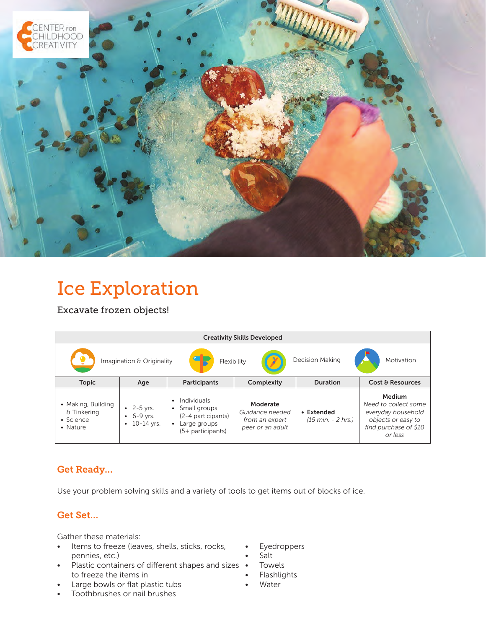

# Ice Exploration

Excavate frozen objects!

| <b>Creativity Skills Developed</b>                                               |                                          |                                                                                                          |                                                                   |                                                    |                                                                                                                |
|----------------------------------------------------------------------------------|------------------------------------------|----------------------------------------------------------------------------------------------------------|-------------------------------------------------------------------|----------------------------------------------------|----------------------------------------------------------------------------------------------------------------|
| <b>Decision Making</b><br>Imagination & Originality<br>Motivation<br>Flexibility |                                          |                                                                                                          |                                                                   |                                                    |                                                                                                                |
| <b>Topic</b>                                                                     | Age                                      | <b>Participants</b>                                                                                      | Complexity                                                        | <b>Duration</b>                                    | Cost & Resources                                                                                               |
| • Making, Building<br>& Tinkering<br>• Science<br>• Nature                       | • $2 - 5$ yrs.<br>6-9 vrs.<br>10-14 yrs. | Individuals<br>٠<br>Small groups<br>$\bullet$<br>(2-4 participants)<br>Large groups<br>(5+ participants) | Moderate<br>Guidance needed<br>from an expert<br>peer or an adult | • Extended<br>$(15 \text{ min.} - 2 \text{ hrs.})$ | Medium<br>Need to collect some<br>everyday household<br>objects or easy to<br>find purchase of \$10<br>or less |

## Get Ready…

Use your problem solving skills and a variety of tools to get items out of blocks of ice.

## Get Set…

Gather these materials:

- Items to freeze (leaves, shells, sticks, rocks, pennies, etc.)
- Plastic containers of different shapes and sizes to freeze the items in
- Large bowls or flat plastic tubs
- Toothbrushes or nail brushes
- **Eyedroppers**
- Salt
- Towels
- Flashlights
- **Water**